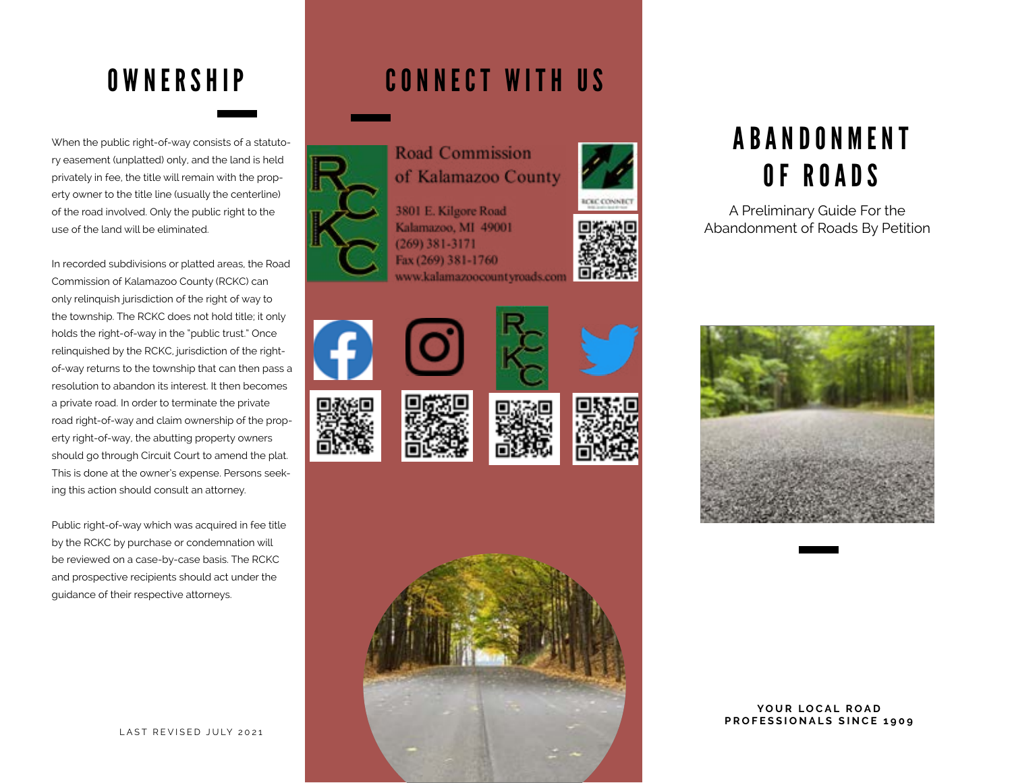### **OWNERSHIP**

When the public right-of-way consists of a statutory easement (unplatted) only, and the land is held privately in fee, the title will remain with the property owner to the title line (usually the centerline) of the road involved. Only the public right to the use of the land will be eliminated.

In recorded subdivisions or platted areas, the Road Commission of Kalamazoo County (RCKC) can only relinquish jurisdiction of the right of way to the township. The RCKC does not hold title; it only holds the right-of-way in the "public trust." Once relinquished by the RCKC, jurisdiction of the rightof-way returns to the township that can then pass a resolution to abandon its interest. It then becomes a private road. In order to terminate the private road right-of-way and claim ownership of the property right-of-way, the abutting property owners should go through Circuit Court to amend the plat. This is done at the owner's expense. Persons seeking this action should consult an attorney.

Public right-of-way which was acquired in fee title by the RCKC by purchase or condemnation will be reviewed on a case-by-case basis. The RCKC and prospective recipients should act under the guidance of their respective attorneys.



#### CONNECT WITH US



**Road Commission** of Kalamazoo County

3801 E. Kilgore Road Kalamazoo, MI 49001  $(269)$  381-3171 Fax (269) 381-1760 www.kalamazoocountyroads.com

















## A B A N D O N M E N T OF ROADS

A Preliminary Guide For the Abandonment of Roads By Petition



#### YOUR LOCAL ROAD **PROFESSIONALS SINCE 1909**